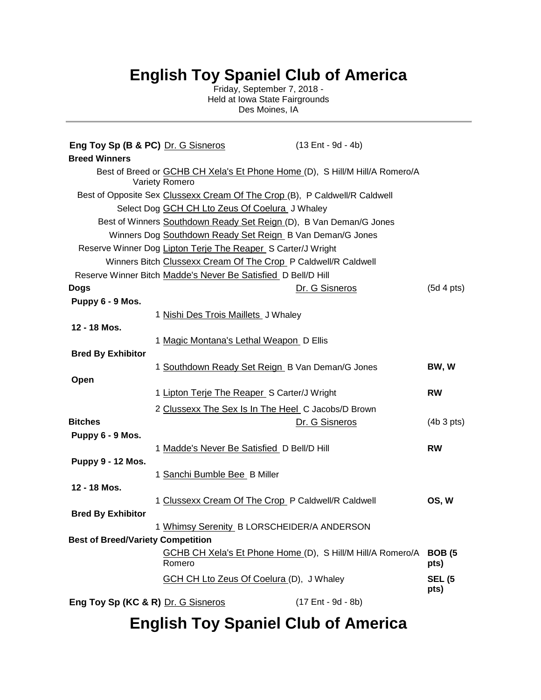## **English Toy Spaniel Club of America**

Friday, September 7, 2018 - Held at Iowa State Fairgrounds Des Moines, IA

| Eng Toy Sp (B & PC) Dr. G Sisneros<br><b>Breed Winners</b> |                                                                                                      | $(13 Ent - 9d - 4b)$                                              |                       |
|------------------------------------------------------------|------------------------------------------------------------------------------------------------------|-------------------------------------------------------------------|-----------------------|
|                                                            | Best of Breed or <b>GCHB CH Xela's Et Phone Home</b> (D), S Hill/M Hill/A Romero/A<br>Variety Romero |                                                                   |                       |
|                                                            | Best of Opposite Sex Clussexx Cream Of The Crop (B), P Caldwell/R Caldwell                           |                                                                   |                       |
|                                                            | Select Dog GCH CH Lto Zeus Of Coelura J Whaley                                                       |                                                                   |                       |
|                                                            | Best of Winners Southdown Ready Set Reign (D), B Van Deman/G Jones                                   |                                                                   |                       |
|                                                            | Winners Dog Southdown Ready Set Reign_B Van Deman/G Jones                                            |                                                                   |                       |
|                                                            | Reserve Winner Dog Lipton Terje The Reaper S Carter/J Wright                                         |                                                                   |                       |
|                                                            | Winners Bitch Clussexx Cream Of The Crop_P Caldwell/R Caldwell                                       |                                                                   |                       |
|                                                            | Reserve Winner Bitch Madde's Never Be Satisfied D Bell/D Hill                                        |                                                                   |                       |
| <b>Dogs</b>                                                |                                                                                                      | Dr. G Sisneros                                                    | (5d 4pts)             |
| Puppy 6 - 9 Mos.                                           |                                                                                                      |                                                                   |                       |
|                                                            | 1 Nishi Des Trois Maillets J Whaley                                                                  |                                                                   |                       |
| 12 - 18 Mos.                                               |                                                                                                      |                                                                   |                       |
|                                                            | 1 Magic Montana's Lethal Weapon D Ellis                                                              |                                                                   |                       |
| <b>Bred By Exhibitor</b>                                   |                                                                                                      |                                                                   |                       |
|                                                            | 1 Southdown Ready Set Reign_B Van Deman/G Jones                                                      |                                                                   | BW, W                 |
| Open                                                       |                                                                                                      |                                                                   |                       |
|                                                            | 1 Lipton Terje The Reaper S Carter/J Wright                                                          |                                                                   | <b>RW</b>             |
|                                                            | 2 Clussexx The Sex Is In The Heel C Jacobs/D Brown                                                   |                                                                   |                       |
| <b>Bitches</b>                                             |                                                                                                      | Dr. G Sisneros                                                    | (4b 3 pts)            |
| Puppy 6 - 9 Mos.                                           |                                                                                                      |                                                                   |                       |
|                                                            | 1 Madde's Never Be Satisfied D Bell/D Hill                                                           |                                                                   | <b>RW</b>             |
| <b>Puppy 9 - 12 Mos.</b>                                   |                                                                                                      |                                                                   |                       |
|                                                            | 1 Sanchi Bumble Bee B Miller                                                                         |                                                                   |                       |
| 12 - 18 Mos.                                               |                                                                                                      |                                                                   |                       |
|                                                            |                                                                                                      |                                                                   | OS, W                 |
| <b>Bred By Exhibitor</b>                                   | 1 Clussexx Cream Of The Crop_P Caldwell/R Caldwell                                                   |                                                                   |                       |
|                                                            |                                                                                                      |                                                                   |                       |
|                                                            | 1 Whimsy Serenity B LORSCHEIDER/A ANDERSON                                                           |                                                                   |                       |
| <b>Best of Breed/Variety Competition</b>                   |                                                                                                      |                                                                   |                       |
|                                                            | Romero                                                                                               | GCHB CH Xela's Et Phone Home (D), S Hill/M Hill/A Romero/A BOB (5 | pts)                  |
|                                                            | <b>GCH CH Lto Zeus Of Coelura (D), J Whaley</b>                                                      |                                                                   | <b>SEL (5</b><br>pts) |
| Eng Toy Sp (KC & R) Dr. G Sisneros                         |                                                                                                      | (17 Ent - 9d - 8b)                                                |                       |

## **English Toy Spaniel Club of America**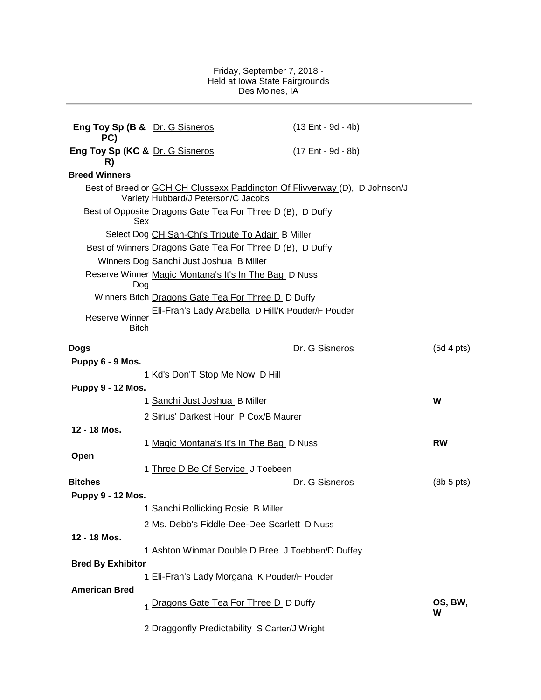## Friday, September 7, 2018 - Held at Iowa State Fairgrounds Des Moines, IA

| Eng Toy Sp (B & Dr. G Sisneros<br>PC) |                                                                                                                          | $(13 Ent - 9d - 4b)$ |              |
|---------------------------------------|--------------------------------------------------------------------------------------------------------------------------|----------------------|--------------|
| Eng Toy Sp (KC & Dr. G Sisneros<br>R) |                                                                                                                          | (17 Ent - 9d - 8b)   |              |
| <b>Breed Winners</b>                  |                                                                                                                          |                      |              |
|                                       | Best of Breed or <b>GCH CH Clussexx Paddington Of Flivverway</b> (D), D Johnson/J<br>Variety Hubbard/J Peterson/C Jacobs |                      |              |
| <b>Sex</b>                            | Best of Opposite Dragons Gate Tea For Three D (B), D Duffy                                                               |                      |              |
|                                       | Select Dog CH San-Chi's Tribute To Adair B Miller                                                                        |                      |              |
|                                       | Best of Winners Dragons Gate Tea For Three D (B), D Duffy                                                                |                      |              |
|                                       | Winners Dog Sanchi Just Joshua_B Miller                                                                                  |                      |              |
| Dog                                   | Reserve Winner Magic Montana's It's In The Bag D Nuss                                                                    |                      |              |
|                                       | Winners Bitch Dragons Gate Tea For Three D D Duffy                                                                       |                      |              |
| Reserve Winner<br><b>Bitch</b>        | Eli-Fran's Lady Arabella D Hill/K Pouder/F Pouder                                                                        |                      |              |
|                                       |                                                                                                                          |                      |              |
| <b>Dogs</b>                           |                                                                                                                          | Dr. G Sisneros       | (5d 4pts)    |
| Puppy 6 - 9 Mos.                      | 1 Kd's Don'T Stop Me Now D Hill                                                                                          |                      |              |
| <b>Puppy 9 - 12 Mos.</b>              |                                                                                                                          |                      |              |
|                                       | 1 Sanchi Just Joshua B Miller                                                                                            |                      | W            |
|                                       | 2 Sirius' Darkest Hour P Cox/B Maurer                                                                                    |                      |              |
| 12 - 18 Mos.                          |                                                                                                                          |                      |              |
|                                       | 1 Magic Montana's It's In The Bag D Nuss                                                                                 |                      | <b>RW</b>    |
| Open                                  |                                                                                                                          |                      |              |
|                                       | 1 Three D Be Of Service J Toebeen                                                                                        |                      |              |
| <b>Bitches</b>                        |                                                                                                                          | Dr. G Sisneros       | (8b 5 pts)   |
| <b>Puppy 9 - 12 Mos.</b>              |                                                                                                                          |                      |              |
|                                       | 1 Sanchi Rollicking Rosie B Miller                                                                                       |                      |              |
|                                       | 2 Ms. Debb's Fiddle-Dee-Dee Scarlett D Nuss                                                                              |                      |              |
| 12 - 18 Mos.                          |                                                                                                                          |                      |              |
|                                       | 1 Ashton Winmar Double D Bree J Toebben/D Duffey                                                                         |                      |              |
| <b>Bred By Exhibitor</b>              |                                                                                                                          |                      |              |
|                                       | 1 Eli-Fran's Lady Morgana K Pouder/F Pouder                                                                              |                      |              |
| <b>American Bred</b>                  |                                                                                                                          |                      |              |
|                                       | 1 Dragons Gate Tea For Three D D Duffy                                                                                   |                      | OS, BW,<br>W |
|                                       | 2 Draggonfly Predictability_S Carter/J Wright                                                                            |                      |              |